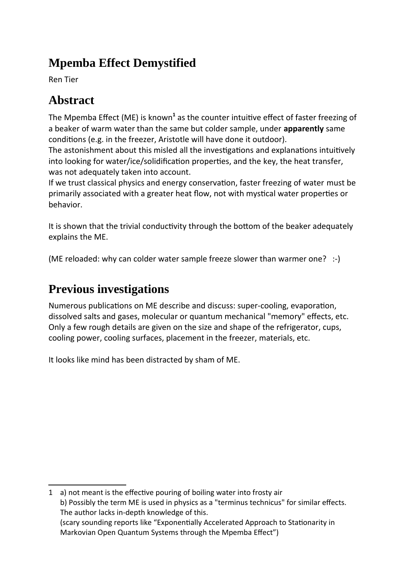# **Mpemba Effect Demystified**

Ren Tier

# **Abstract**

<span id="page-0-0"></span>The Mpemba Effect (ME) is known<sup>[1](#page-0-1)</sup> as the counter intuitive effect of faster freezing of a beaker of warm water than the same but colder sample, under **apparently** same conditions (e.g. in the freezer, Aristotle will have done it outdoor).

The astonishment about this misled all the investigations and explanations intuitively into looking for water/ice/solidification properties, and the key, the heat transfer, was not adequately taken into account.

If we trust classical physics and energy conservation, faster freezing of water must be primarily associated with a greater heat flow, not with mystical water properties or behavior.

It is shown that the trivial conductivity through the bottom of the beaker adequately explains the ME.

(ME reloaded: why can colder water sample freeze slower than warmer one? :-)

# **Previous investigations**

Numerous publications on ME describe and discuss: super-cooling, evaporation, dissolved salts and gases, molecular or quantum mechanical "memory" effects, etc. Only a few rough details are given on the size and shape of the refrigerator, cups, cooling power, cooling surfaces, placement in the freezer, materials, etc.

It looks like mind has been distracted by sham of ME.

<span id="page-0-1"></span>[<sup>1</sup>](#page-0-0) a) not meant is the effective pouring of boiling water into frosty air b) Possibly the term ME is used in physics as a "terminus technicus" for similar effects. The author lacks in-depth knowledge of this. (scary sounding reports like "Exponentially Accelerated Approach to Stationarity in Markovian Open Quantum Systems through the Mpemba Effect")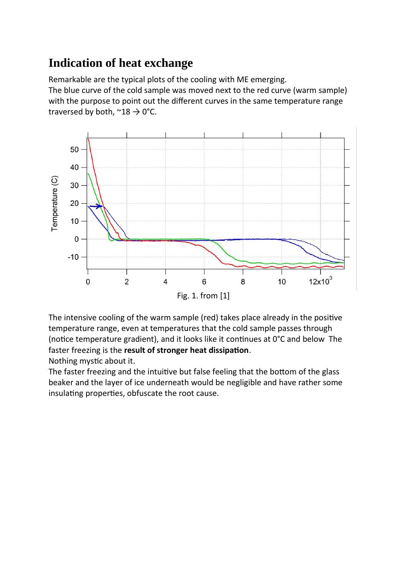# **Indication of heat exchange**

Remarkable are the typical plots of the cooling with ME emerging. The blue curve of the cold sample was moved next to the red curve (warm sample) with the purpose to point out the different curves in the same temperature range traversed by both,  $\approx 18 \div 0$ °C.



The intensive cooling of the warm sample (red) takes place already in the positive temperature range, even at temperatures that the cold sample passes through (notice temperature gradient), and it looks like it continues at 0°C and below The faster freezing is the **result of stronger heat dissipation**.

Nothing mystic about it.

The faster freezing and the intuitive but false feeling that the bottom of the glass beaker and the layer of ice underneath would be negligible and have rather some insulating properties, obfuscate the root cause.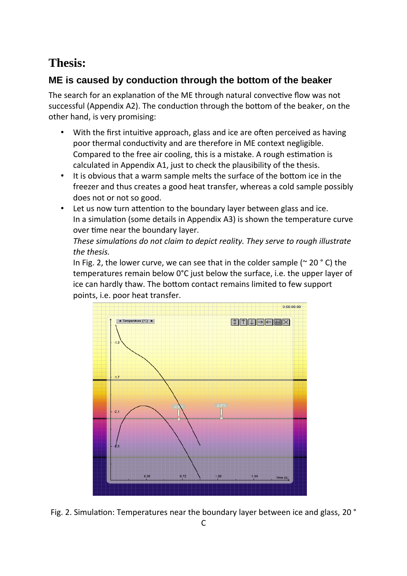# **Thesis:**

### **ME is caused by conduction through the bottom of the beaker**

The search for an explanation of the ME through natural convective flow was not successful (Appendix [A2](#page-9-0)). The conduction through the bottom of the beaker, on the other hand, is very promising:

- With the first intuitive approach, glass and ice are often perceived as having poor thermal conductivity and are therefore in ME context negligible. Compared to the free air cooling, this is a mistake. A rough estimation is calculated in Appendix [A1,](#page-9-1) just to check the plausibility of the thesis.
- It is obvious that a warm sample melts the surface of the bottom ice in the freezer and thus creates a good heat transfer, whereas a cold sample possibly does not or not so good.
- Let us now turn attention to the boundary layer between glass and ice. In a simulation (some details in Appendix [A3\)](#page-10-0) is shown the temperature curve over time near the boundary layer.

*These simulations do not claim to depict reality. They serve to rough illustrate the thesis.*

In Fig. 2, the lower curve, we can see that in the colder sample ( $\sim$  20  $\degree$  C) the temperatures remain below 0°C just below the surface, i.e. the upper layer of ice can hardly thaw. The bottom contact remains limited to few support points, i.e. poor heat transfer.



Fig. 2. Simulation: Temperatures near the boundary layer between ice and glass, 20 °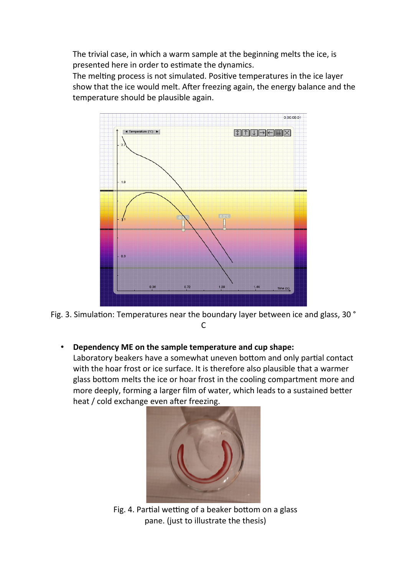The trivial case, in which a warm sample at the beginning melts the ice, is presented here in order to estimate the dynamics.

The melting process is not simulated. Positive temperatures in the ice layer show that the ice would melt. After freezing again, the energy balance and the temperature should be plausible again.



Fig. 3. Simulation: Temperatures near the boundary layer between ice and glass, 30 ° C

• **Dependency ME on the sample temperature and cup shape:**

Laboratory beakers have a somewhat uneven bottom and only partial contact with the hoar frost or ice surface. It is therefore also plausible that a warmer glass bottom melts the ice or hoar frost in the cooling compartment more and more deeply, forming a larger film of water, which leads to a sustained better heat / cold exchange even after freezing.



Fig. 4. Partial wetting of a beaker bottom on a glass pane. (just to illustrate the thesis)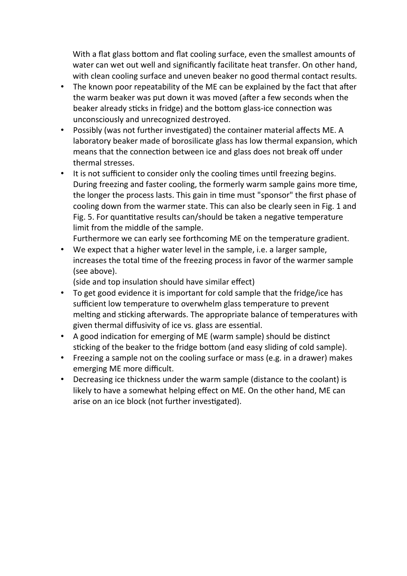With a flat glass bottom and flat cooling surface, even the smallest amounts of water can wet out well and significantly facilitate heat transfer. On other hand, with clean cooling surface and uneven beaker no good thermal contact results.

- The known poor repeatability of the ME can be explained by the fact that after the warm beaker was put down it was moved (after a few seconds when the beaker already sticks in fridge) and the bottom glass-ice connection was unconsciously and unrecognized destroyed.
- Possibly (was not further investigated) the container material affects ME. A laboratory beaker made of borosilicate glass has low thermal expansion, which means that the connection between ice and glass does not break off under thermal stresses.
- It is not sufficient to consider only the cooling times until freezing begins. During freezing and faster cooling, the formerly warm sample gains more time, the longer the process lasts. This gain in time must "sponsor" the first phase of cooling down from the warmer state. This can also be clearly seen in Fig. 1 and Fig. 5. For quantitative results can/should be taken a negative temperature limit from the middle of the sample.

Furthermore we can early see forthcoming ME on the temperature gradient. • We expect that a higher water level in the sample, i.e. a larger sample,

increases the total time of the freezing process in favor of the warmer sample (see above).

(side and top insulation should have similar effect)

- To get good evidence it is important for cold sample that the fridge/ice has sufficient low temperature to overwhelm glass temperature to prevent melting and sticking afterwards. The appropriate balance of temperatures with given thermal diffusivity of ice vs. glass are essential.
- A good indication for emerging of ME (warm sample) should be distinct sticking of the beaker to the fridge bottom (and easy sliding of cold sample).
- Freezing a sample not on the cooling surface or mass (e.g. in a drawer) makes emerging ME more difficult.
- Decreasing ice thickness under the warm sample (distance to the coolant) is likely to have a somewhat helping effect on ME. On the other hand, ME can arise on an ice block (not further investigated).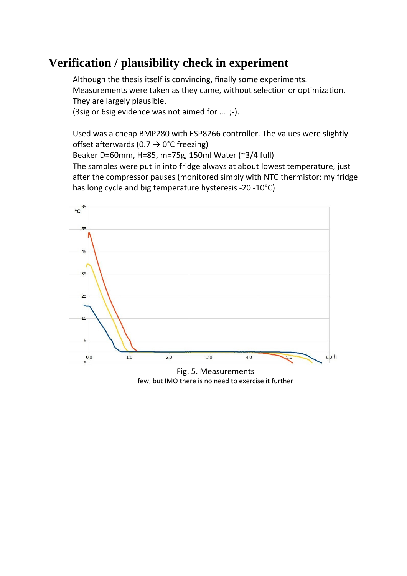## **Verification / plausibility check in experiment**

Although the thesis itself is convincing, finally some experiments. Measurements were taken as they came, without selection or optimization. They are largely plausible.

(3sig or 6sig evidence was not aimed for … ;-).

Used was a cheap BMP280 with ESP8266 controller. The values were slightly offset afterwards (0.7  $\rightarrow$  0°C freezing)

Beaker D=60mm, H=85, m=75g, 150ml Water (~3/4 full)

The samples were put in into fridge always at about lowest temperature, just after the compressor pauses (monitored simply with NTC thermistor; my fridge has long cycle and big temperature hysteresis -20 -10°C)



Fig. 5. Measurements few, but IMO there is no need to exercise it further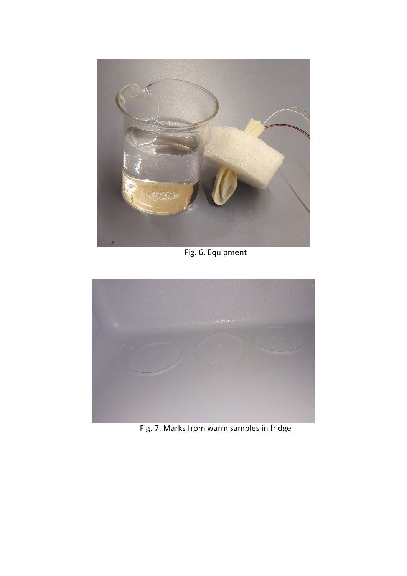

Fig. 6. Equipment



Fig. 7. Marks from warm samples in fridge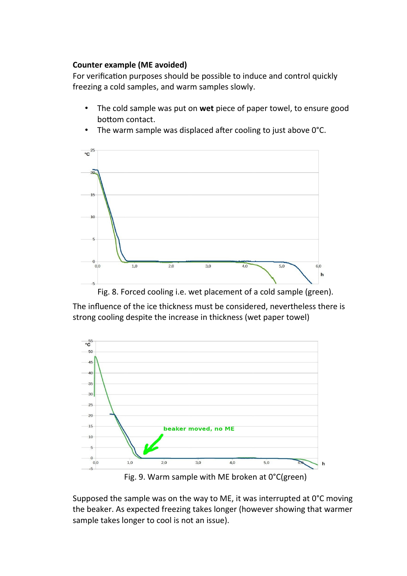#### **Counter example (ME avoided)**

For verification purposes should be possible to induce and control quickly freezing a cold samples, and warm samples slowly.

• The cold sample was put on **wet** piece of paper towel, to ensure good bottom contact.



• The warm sample was displaced after cooling to just above 0°C.

The influence of the ice thickness must be considered, nevertheless there is strong cooling despite the increase in thickness (wet paper towel)



Fig. 9. Warm sample with ME broken at 0°C(green)

Supposed the sample was on the way to ME, it was interrupted at 0°C moving the beaker. As expected freezing takes longer (however showing that warmer sample takes longer to cool is not an issue).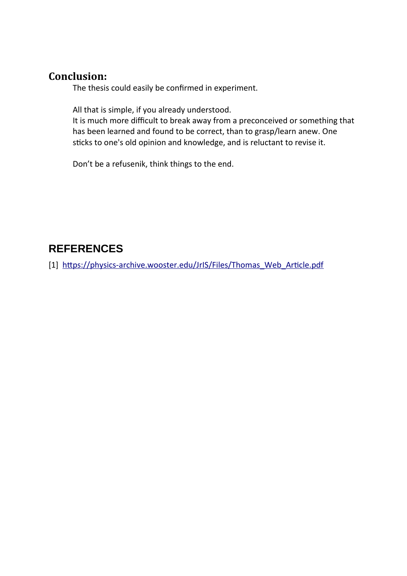### **Conclusion:**

The thesis could easily be confirmed in experiment.

All that is simple, if you already understood.

It is much more difficult to break away from a preconceived or something that has been learned and found to be correct, than to grasp/learn anew. One sticks to one's old opinion and knowledge, and is reluctant to revise it.

Don't be a refusenik, think things to the end.

### **REFERENCES**

[1] [https://physics-archive.wooster.edu/JrIS/Files/Thomas\\_Web\\_Article.pdf](https://physics-archive.wooster.edu/JrIS/Files/Thomas_Web_Article.pdf)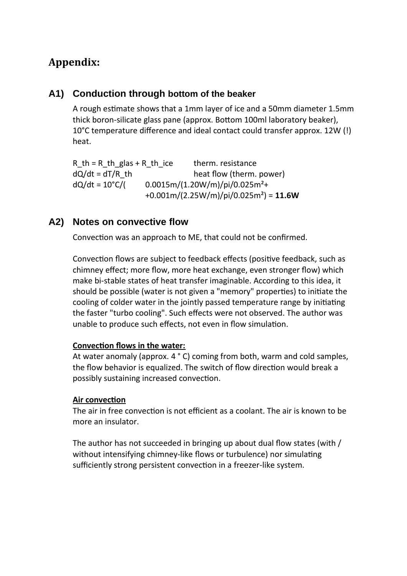### **Appendix:**

#### <span id="page-9-1"></span>**A1) Conduction through bottom of the beaker**

A rough estimate shows that a 1mm layer of ice and a 50mm diameter 1.5mm thick boron-silicate glass pane (approx. Bottom 100ml laboratory beaker), 10°C temperature difference and ideal contact could transfer approx. 12W (!) heat.

R th = R th glas + R th ice therm. resistance  $dQ/dt = dT/R$  th heat flow (therm. power)  $dQ/dt = 10^{\circ}C/$  (0.0015m/(1.20W/m)/pi/0.025m<sup>2</sup>+ +0.001m/(2.25W/m)/pi/0.025m²) = **11.6W**

### <span id="page-9-0"></span>**A2) Notes on convective flow**

Convection was an approach to ME, that could not be confirmed.

Convection flows are subject to feedback effects (positive feedback, such as chimney effect; more flow, more heat exchange, even stronger flow) which make bi-stable states of heat transfer imaginable. According to this idea, it should be possible (water is not given a "memory" properties) to initiate the cooling of colder water in the jointly passed temperature range by initiating the faster "turbo cooling". Such effects were not observed. The author was unable to produce such effects, not even in flow simulation.

#### **Convection flows in the water:**

At water anomaly (approx. 4 ° C) coming from both, warm and cold samples, the flow behavior is equalized. The switch of flow direction would break a possibly sustaining increased convection.

#### **Air convection**

The air in free convection is not efficient as a coolant. The air is known to be more an insulator.

The author has not succeeded in bringing up about dual flow states (with / without intensifying chimney-like flows or turbulence) nor simulating sufficiently strong persistent convection in a freezer-like system.